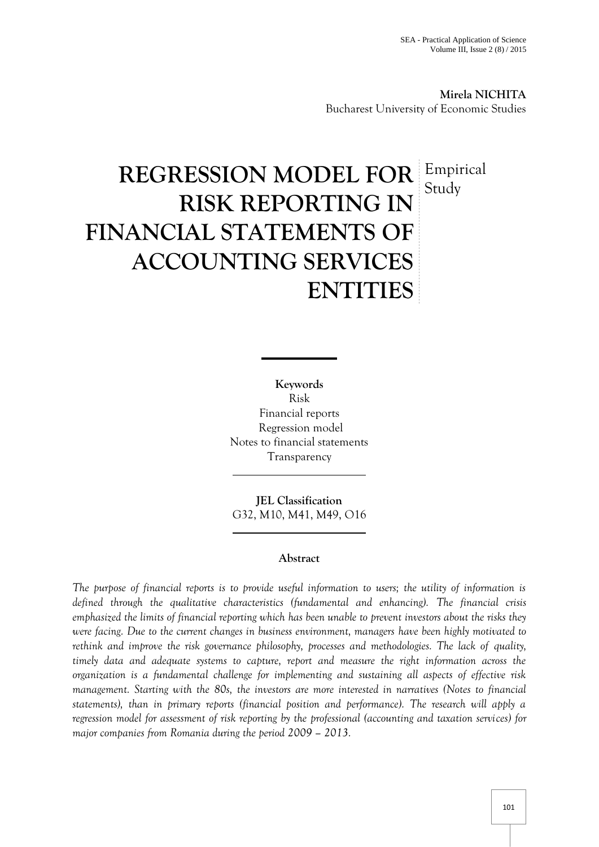**Mirela NICHITA** Bucharest University of Economic Studies

# **REGRESSION MODEL FOR** Empirical **RISK REPORTING IN FINANCIAL STATEMENTS OF ACCOUNTING SERVICES ENTITIES** Study

**Keywords** Risk Financial reports Regression model Notes to financial statements Transparency

**JEL Classification** G32, M10, M41, M49, O16

# **Abstract**

*The purpose of financial reports is to provide useful information to users; the utility of information is defined through the qualitative characteristics (fundamental and enhancing). The financial crisis emphasized the limits of financial reporting which has been unable to prevent investors about the risks they were facing. Due to the current changes in business environment, managers have been highly motivated to rethink and improve the risk governance philosophy, processes and methodologies. The lack of quality, timely data and adequate systems to capture, report and measure the right information across the organization is a fundamental challenge for implementing and sustaining all aspects of effective risk management. Starting with the 80s, the investors are more interested in narratives (Notes to financial statements), than in primary reports (financial position and performance). The research will apply a regression model for assessment of risk reporting by the professional (accounting and taxation services) for major companies from Romania during the period 2009 – 2013.*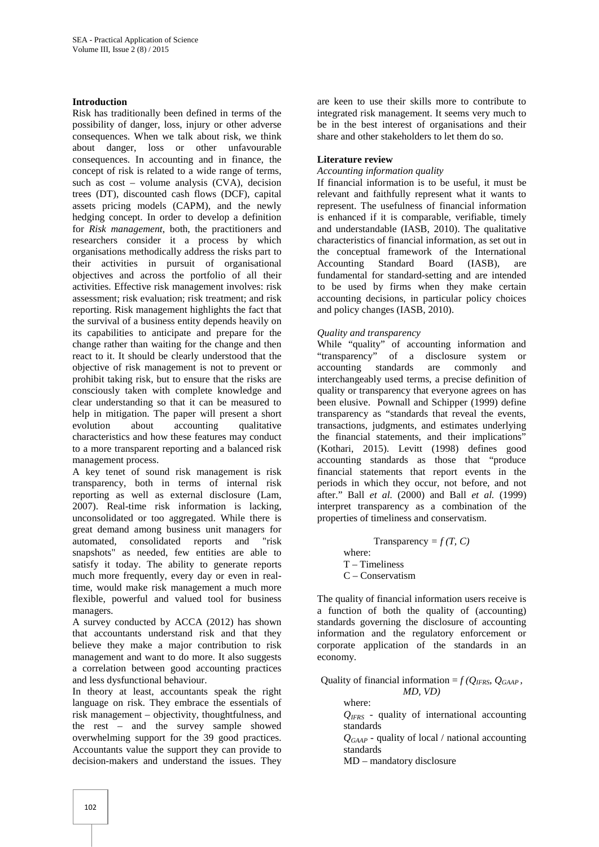#### **Introduction**

Risk has traditionally been defined in terms of the possibility of danger, loss, injury or other adverse consequences. When we talk about risk, we think about danger, loss or other unfavourable consequences. In accounting and in finance, the concept of risk is related to a wide range of terms, such as cost – volume analysis (CVA), decision trees (DT), discounted cash flows (DCF), capital assets pricing models (CAPM), and the newly hedging concept. In order to develop a definition for *Risk management*, both, the practitioners and researchers consider it a process by which organisations methodically address the risks part to their activities in pursuit of organisational objectives and across the portfolio of all their activities. Effective risk management involves: risk assessment; risk evaluation; risk treatment; and risk reporting. Risk management highlights the fact that the survival of a business entity depends heavily on its capabilities to anticipate and prepare for the change rather than waiting for the change and then react to it. It should be clearly understood that the objective of risk management is not to prevent or prohibit taking risk, but to ensure that the risks are consciously taken with complete knowledge and clear understanding so that it can be measured to help in mitigation. The paper will present a short evolution about accounting qualitative characteristics and how these features may conduct to a more transparent reporting and a balanced risk management process.

A key tenet of sound risk management is risk transparency, both in terms of internal risk reporting as well as external disclosure (Lam, 2007). Real-time risk information is lacking, unconsolidated or too aggregated. While there is great demand among business unit managers for automated, consolidated reports and "risk snapshots" as needed, few entities are able to satisfy it today. The ability to generate reports much more frequently, every day or even in realtime, would make risk management a much more flexible, powerful and valued tool for business managers.

A survey conducted by ACCA (2012) has shown that accountants understand risk and that they believe they make a major contribution to risk management and want to do more. It also suggests a correlation between good accounting practices and less dysfunctional behaviour.

In theory at least, accountants speak the right language on risk. They embrace the essentials of risk management – objectivity, thoughtfulness, and the rest – and the survey sample showed overwhelming support for the 39 good practices. Accountants value the support they can provide to decision-makers and understand the issues. They

are keen to use their skills more to contribute to integrated risk management. It seems very much to be in the best interest of organisations and their share and other stakeholders to let them do so.

#### **Literature review**

#### *Accounting information quality*

If financial information is to be useful, it must be relevant and faithfully represent what it wants to represent. The usefulness of financial information is enhanced if it is comparable, verifiable, timely and understandable (IASB, 2010). The qualitative characteristics of financial information, as set out in the conceptual framework of the International Accounting Standard Board (IASB), are fundamental for standard-setting and are intended to be used by firms when they make certain accounting decisions, in particular policy choices and policy changes (IASB, 2010).

#### *Quality and transparency*

While "quality" of accounting information and "transparency" of a disclosure system or accounting standards are commonly and interchangeably used terms, a precise definition of quality or transparency that everyone agrees on has been elusive. Pownall and Schipper (1999) define transparency as "standards that reveal the events, transactions, judgments, and estimates underlying the financial statements, and their implications" (Kothari, 2015). Levitt (1998) defines good accounting standards as those that "produce financial statements that report events in the periods in which they occur, not before, and not after." Ball *et al.* (2000) and Ball *et al.* (1999) interpret transparency as a combination of the properties of timeliness and conservatism.

> Transparency =  $f(T, C)$ where: T –Timeliness C – Conservatism

The quality of financial information users receive is a function of both the quality of (accounting) standards governing the disclosure of accounting information and the regulatory enforcement or corporate application of the standards in an economy.

Quality of financial information =  $f(Q_{IFRS}, Q_{GAAP})$ *MD, VD)*

> where: *QIFRS -* quality of international accounting standards

*QGAAP -* quality of local / national accounting standards

MD – mandatory disclosure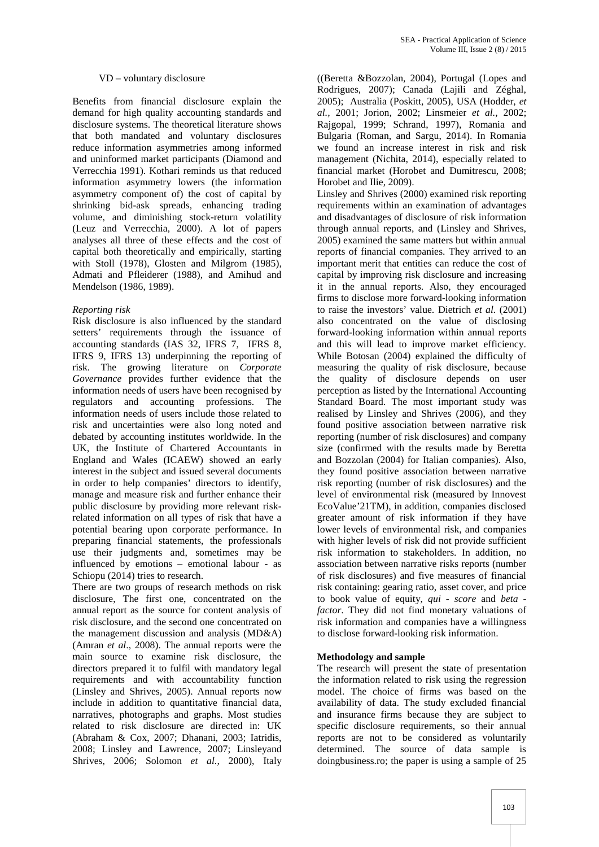## VD – voluntary disclosure

Benefits from financial disclosure explain the demand for high quality accounting standards and disclosure systems. The theoretical literature shows that both mandated and voluntary disclosures reduce information asymmetries among informed and uninformed market participants (Diamond and Verrecchia 1991). Kothari reminds us that reduced information asymmetry lowers (the information asymmetry component of) the cost of capital by shrinking bid-ask spreads, enhancing trading volume, and diminishing stock-return volatility (Leuz and Verrecchia, 2000). A lot of papers analyses all three of these effects and the cost of capital both theoretically and empirically, starting with Stoll (1978), Glosten and Milgrom (1985), Admati and Pfleiderer (1988), and Amihud and Mendelson (1986, 1989).

#### *Reporting risk*

Risk disclosure is also influenced by the standard setters' requirements through the issuance of accounting standards (IAS 32, IFRS 7, IFRS 8, IFRS 9, IFRS 13) underpinning the reporting of risk. The growing literature on *Corporate Governance* provides further evidence that the information needs of users have been recognised by regulators and accounting professions. The information needs of users include those related to risk and uncertainties were also long noted and debated by accounting institutes worldwide. In the UK, the Institute of Chartered Accountants in England and Wales (ICAEW) showed an early interest in the subject and issued several documents in order to help companies' directors to identify, manage and measure risk and further enhance their public disclosure by providing more relevant riskrelated information on all types of risk that have a potential bearing upon corporate performance. In preparing financial statements, the professionals use their judgments and, sometimes may be influenced by emotions – emotional labour - as Schiopu (2014) tries to research.

There are two groups of research methods on risk disclosure, The first one, concentrated on the annual report as the source for content analysis of risk disclosure, and the second one concentrated on the management discussion and analysis (MD&A) (Amran *et al*., 2008). The annual reports were the main source to examine risk disclosure, the directors prepared it to fulfil with mandatory legal requirements and with accountability function (Linsley and Shrives, 2005). Annual reports now include in addition to quantitative financial data, narratives, photographs and graphs. Most studies related to risk disclosure are directed in: UK (Abraham & Cox, 2007; Dhanani, 2003; Iatridis, 2008; Linsley and Lawrence, 2007; Linsleyand Shrives, 2006; Solomon *et al.,* 2000), Italy

((Beretta &Bozzolan, 2004), Portugal (Lopes and Rodrigues, 2007); Canada (Lajili and Zéghal, 2005); Australia (Poskitt, 2005), USA (Hodder, *et al.,* 2001; Jorion, 2002; Linsmeier *et al.,* 2002; Rajgopal, 1999; Schrand, 1997), Romania and Bulgaria (Roman, and Sargu, 2014). In Romania we found an increase interest in risk and risk management (Nichita, 2014), especially related to financial market (Horobet and Dumitrescu, 2008; Horobet and Ilie, 2009).

Linsley and Shrives (2000) examined risk reporting requirements within an examination of advantages and disadvantages of disclosure of risk information through annual reports, and (Linsley and Shrives, 2005) examined the same matters but within annual reports of financial companies. They arrived to an important merit that entities can reduce the cost of capital by improving risk disclosure and increasing it in the annual reports. Also, they encouraged firms to disclose more forward-looking information to raise the investors' value. Dietrich *et al.* (2001) also concentrated on the value of disclosing forward-looking information within annual reports and this will lead to improve market efficiency. While Botosan (2004) explained the difficulty of measuring the quality of risk disclosure, because the quality of disclosure depends on user perception as listed by the International Accounting Standard Board. The most important study was realised by Linsley and Shrives (2006), and they found positive association between narrative risk reporting (number of risk disclosures) and company size (confirmed with the results made by Beretta and Bozzolan (2004) for Italian companies). Also, they found positive association between narrative risk reporting (number of risk disclosures) and the level of environmental risk (measured by Innovest EcoValue'21TM), in addition, companies disclosed greater amount of risk information if they have lower levels of environmental risk, and companies with higher levels of risk did not provide sufficient risk information to stakeholders. In addition, no association between narrative risks reports (number of risk disclosures) and five measures of financial risk containing: gearing ratio, asset cover, and price to book value of equity, *qui - score* and *beta factor*. They did not find monetary valuations of risk information and companies have a willingness to disclose forward-looking risk information.

## **Methodology and sample**

The research will present the state of presentation the information related to risk using the regression model. The choice of firms was based on the availability of data. The study excluded financial and insurance firms because they are subject to specific disclosure requirements, so their annual reports are not to be considered as voluntarily determined. The source of data sample is doingbusiness.ro; the paper is using a sample of 25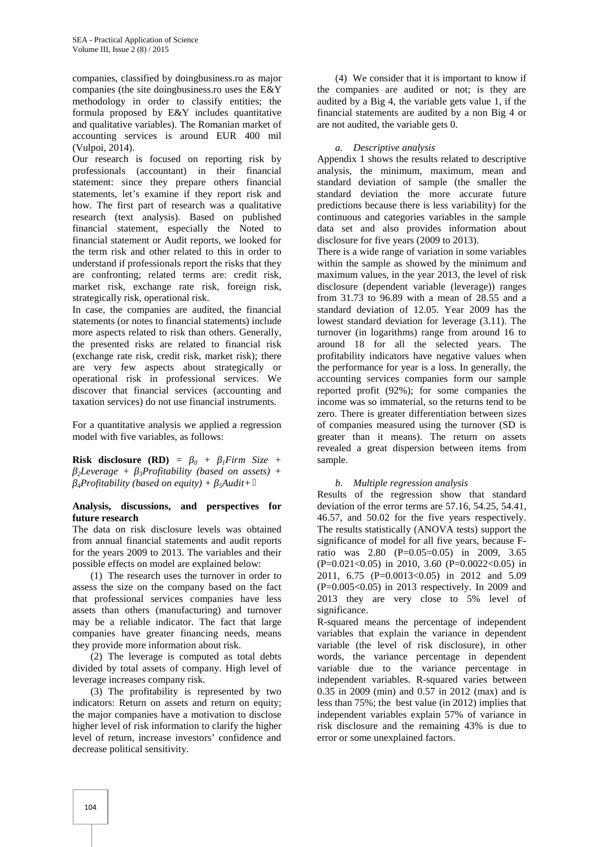companies, classified by doingbusiness.ro as major companies (the site doingbusiness.ro uses the E&Y methodology in order to classify entities; the formula proposed by E&Y includes quantitative and qualitative variables). The Romanian market of accounting services is around EUR 400 mil (Vulpoi, 2014).

Our research is focused on reporting risk by professionals (accountant) in their financial statement: since they prepare others financial statements, let's examine if they report risk and how. The first part of research was a qualitative research (text analysis). Based on published financial statement, especially the Noted to financial statement or Audit reports, we looked for the term risk and other related to this in order to understand if professionals report the risks that they are confronting; related terms are: credit risk, market risk, exchange rate risk, foreign risk, strategically risk, operational risk.

In case, the companies are audited, the financial statements (or notes to financial statements) include more aspects related to risk than others. Generally, the presented risks are related to financial risk (exchange rate risk, credit risk, market risk); there are very few aspects about strategically or operational risk in professional services. We discover that financial services (accounting and taxation services) do not use financial instruments.

For a quantitative analysis we applied a regression model with five variables, as follows:

**Risk disclosure (RD)** =  $\theta + i$  *Firm Size* + *<sup>2</sup>Leverage + β3Profitability (based on assets) + <sup>4</sup>Profitability (based on equity) + β5Audit+*

#### **Analysis, discussions, and perspectives for future research**

The data on risk disclosure levels was obtained from annual financial statements and audit reports for the years 2009 to 2013. The variables and their possible effects on model are explained below:

(1) The research uses the turnover in order to assess the size on the company based on the fact that professional services companies have less assets than others (manufacturing) and turnover may be a reliable indicator. The fact that large companies have greater financing needs, means they provide more information about risk.

(2) The leverage is computed as total debts divided by total assets of company. High level of leverage increases company risk.

(3) The profitability is represented by two indicators: Return on assets and return on equity; the major companies have a motivation to disclose higher level of risk information to clarify the higher level of return, increase investors' confidence and decrease political sensitivity.

(4) We consider that it is important to know if the companies are audited or not; is they are audited by a Big 4, the variable gets value 1, if the financial statements are audited by a non Big 4 or are not audited, the variable gets 0.

## *a. Descriptive analysis*

Appendix 1 shows the results related to descriptive analysis, the minimum, maximum, mean and standard deviation of sample (the smaller the standard deviation the more accurate future predictions because there is less variability) for the continuous and categories variables in the sample data set and also provides information about disclosure for five years (2009 to 2013).

There is a wide range of variation in some variables within the sample as showed by the minimum and maximum values, in the year 2013, the level of risk disclosure (dependent variable (leverage)) ranges from 31.73 to 96.89 with a mean of 28.55 and a standard deviation of 12.05. Year 2009 has the lowest standard deviation for leverage (3.11). The turnover (in logarithms) range from around 16 to around 18 for all the selected years. The profitability indicators have negative values when the performance for year is a loss. In generally, the accounting services companies form our sample reported profit (92%); for some companies the income was so immaterial, so the returns tend to be zero. There is greater differentiation between sizes of companies measured using the turnover (SD is greater than it means). The return on assets revealed a great dispersion between items from sample.

## *b. Multiple regression analysis*

Results of the regression show that standard deviation of the error terms are 57.16, 54.25, 54.41, 46.57, and 50.02 for the five years respectively. The results statistically (ANOVA tests) support the significance of model for all five years, because Fratio was 2.80 (P=0.05=0.05) in 2009, 3.65  $(P=0.021<0.05)$  in 2010, 3.60  $(P=0.0022<0.05)$  in 2011, 6.75 (P=0.0013<0.05) in 2012 and 5.09 (P=0.005<0.05) in 2013 respectively. In 2009 and 2013 they are very close to 5% level of significance.

R-squared means the percentage of independent variables that explain the variance in dependent variable (the level of risk disclosure), in other words, the variance percentage in dependent variable due to the variance percentage in independent variables. R-squared varies between 0.35 in 2009 (min) and 0.57 in 2012 (max) and is less than 75%; the best value (in 2012) implies that independent variables explain 57% of variance in risk disclosure and the remaining 43% is due to error or some unexplained factors.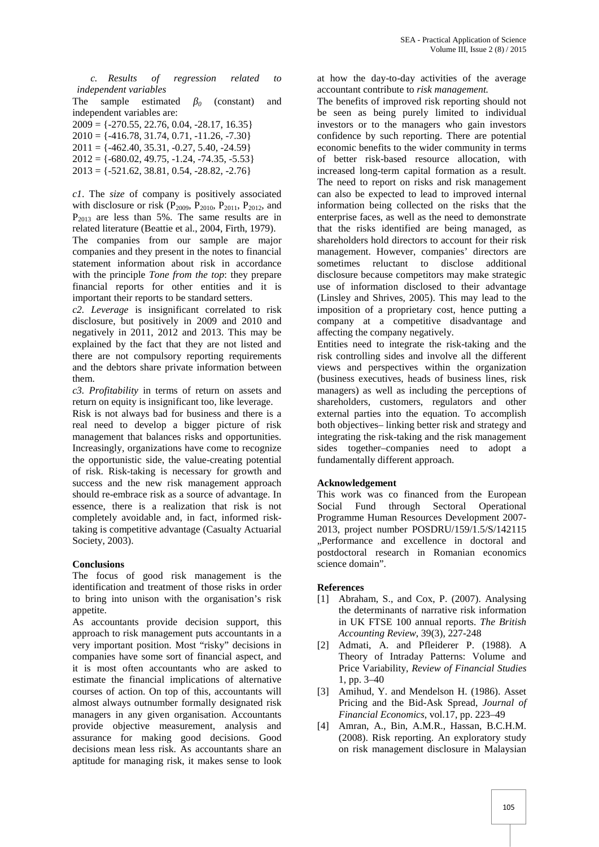*c. Results of regression related to independent variables*

The sample estimated *<sup>0</sup>* (constant) and independent variables are:  $2009 = \{-270.55, 22.76, 0.04, -28.17, 16.35\}$  $2010 = \{ -416.78, 31.74, 0.71, -11.26, -7.30 \}$  $2011 = \{ -462.40, 35.31, -0.27, 5.40, -24.59 \}$  $2012 = \{-680.02, 49.75, -1.24, -74.35, -5.53\}$  $2013 = \{-521.62, 38.81, 0.54, -28.82, -2.76\}$ 

*c1*. The *size* of company is positively associated with disclosure or risk ( $P_{2009}$ ,  $P_{2010}$ ,  $P_{2011}$ ,  $P_{2012}$ , and  $P_{2013}$  are less than 5%. The same results are in related literature (Beattie et al., 2004, Firth, 1979). The companies from our sample are major companies and they present in the notes to financial statement information about risk in accordance

with the principle *Tone from the top*: they prepare financial reports for other entities and it is important their reports to be standard setters.

*c2. Leverage* is insignificant correlated to risk disclosure, but positively in 2009 and 2010 and negatively in 2011, 2012 and 2013. This may be explained by the fact that they are not listed and there are not compulsory reporting requirements and the debtors share private information between them.

*c3. Profitability* in terms of return on assets and return on equity is insignificant too, like leverage.

Risk is not always bad for business and there is a real need to develop a bigger picture of risk management that balances risks and opportunities. Increasingly, organizations have come to recognize the opportunistic side, the value-creating potential of risk. Risk-taking is necessary for growth and success and the new risk management approach should re-embrace risk as a source of advantage. In essence, there is a realization that risk is not completely avoidable and, in fact, informed risktaking is competitive advantage (Casualty Actuarial Society, 2003).

## **Conclusions**

The focus of good risk management is the identification and treatment of those risks in order to bring into unison with the organisation's risk appetite.

As accountants provide decision support, this approach to risk management puts accountants in a very important position. Most "risky" decisions in companies have some sort of financial aspect, and it is most often accountants who are asked to estimate the financial implications of alternative courses of action. On top of this, accountants will almost always outnumber formally designated risk managers in any given organisation. Accountants provide objective measurement, analysis and assurance for making good decisions. Good decisions mean less risk. As accountants share an aptitude for managing risk, it makes sense to look

at how the day-to-day activities of the average accountant contribute to *risk management.*

The benefits of improved risk reporting should not be seen as being purely limited to individual investors or to the managers who gain investors confidence by such reporting. There are potential economic benefits to the wider community in terms of better risk-based resource allocation, with increased long-term capital formation as a result. The need to report on risks and risk management can also be expected to lead to improved internal information being collected on the risks that the enterprise faces, as well as the need to demonstrate that the risks identified are being managed, as shareholders hold directors to account for their risk management. However, companies' directors are sometimes reluctant to disclose additional disclosure because competitors may make strategic use of information disclosed to their advantage (Linsley and Shrives, 2005). This may lead to the imposition of a proprietary cost, hence putting a company at a competitive disadvantage and affecting the company negatively.

Entities need to integrate the risk-taking and the risk controlling sides and involve all the different views and perspectives within the organization (business executives, heads of business lines, risk managers) as well as including the perceptions of shareholders, customers, regulators and other external parties into the equation. To accomplish both objectives– linking better risk and strategy and integrating the risk-taking and the risk management sides together–companies need to adopt a fundamentally different approach.

# **Acknowledgement**

This work was co financed from the European Social Fund through Sectoral Operational Programme Human Resources Development 2007- 2013, project number POSDRU/159/1.5/S/142115 "Performance and excellence in doctoral and postdoctoral research in Romanian economics science domain".

## **References**

- [1] Abraham, S., and Cox, P. (2007). Analysing the determinants of narrative risk information in UK FTSE 100 annual reports. *The British Accounting Review*, 39(3), 227-248
- [2] Admati, A. and Pfleiderer P. (1988). A Theory of Intraday Patterns: Volume and Price Variability, *Review of Financial Studies* 1, pp. 3–40
- [3] Amihud, Y. and Mendelson H. (1986). Asset Pricing and the Bid-Ask Spread, *Journal of Financial Economics*, vol.17, pp. 223–49
- [4] Amran, A., Bin, A.M.R., Hassan, B.C.H.M. (2008). Risk reporting. An exploratory study on risk management disclosure in Malaysian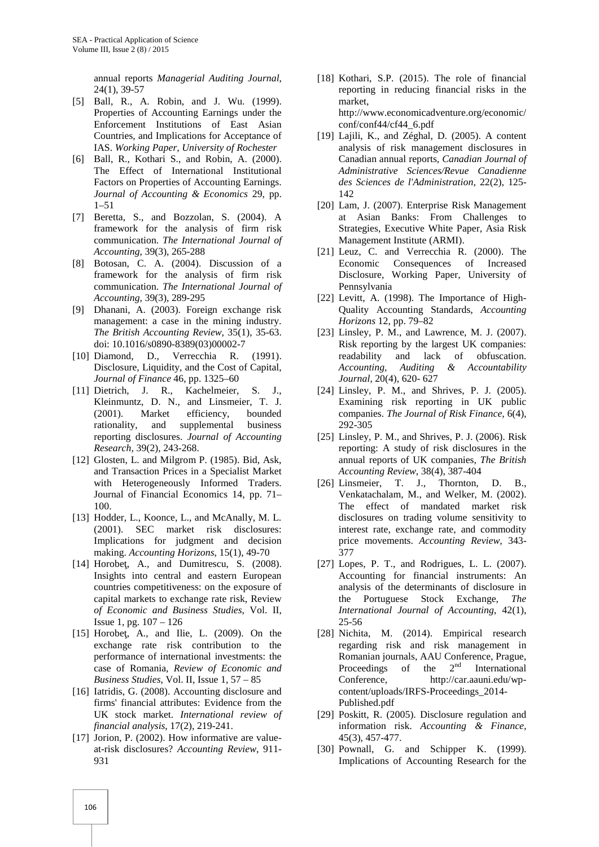annual reports *Managerial Auditing Journal*, 24(1), 39-57

- [5] Ball, R., A. Robin, and J. Wu. (1999). Properties of Accounting Earnings under the Enforcement Institutions of East Asian Countries, and Implications for Acceptance of IAS. *Working Paper, University of Rochester*
- [6] Ball, R., Kothari S., and Robin, A. (2000). The Effect of International Institutional Factors on Properties of Accounting Earnings. *Journal of Accounting & Economics* 29, pp. 1–51
- [7] Beretta, S., and Bozzolan, S. (2004). A framework for the analysis of firm risk communication. *The International Journal of Accounting*, 39(3), 265-288
- [8] Botosan, C. A. (2004). Discussion of a framework for the analysis of firm risk communication. *The International Journal of Accounting,* 39(3), 289-295
- [9] Dhanani, A. (2003). Foreign exchange risk management: a case in the mining industry. *The British Accounting Review*, 35(1), 35-63. doi: 10.1016/s0890-8389(03)00002-7
- [10] Diamond, D., Verrecchia R. (1991). Disclosure, Liquidity, and the Cost of Capital, *Journal of Finance* 46, pp. 1325–60
- [11] Dietrich, J. R., Kachelmeier, S. J., Kleinmuntz, D. N., and Linsmeier, T. J. (2001). Market efficiency, bounded rationality, and supplemental business reporting disclosures. *Journal of Accounting Research,* 39(2), 243-268.
- [12] Glosten, L. and Milgrom P. (1985). Bid, Ask, and Transaction Prices in a Specialist Market with Heterogeneously Informed Traders. Journal of Financial Economics 14, pp. 71– 100.
- [13] Hodder, L., Koonce, L., and McAnally, M. L. (2001). SEC market risk disclosures: Implications for judgment and decision making. *Accounting Horizons*, 15(1), 49-70
- [14] Horobe, A., and Dumitrescu, S.  $(2008)$ . Insights into central and eastern European countries competitiveness: on the exposure of capital markets to exchange rate risk, Review *of Economic and Business Studies*, Vol. II, Issue 1, pg. 107 – 126
- [15] Horobe, A., and Ilie, L.  $(2009)$ . On the exchange rate risk contribution to the performance of international investments: the case of Romania, *Review of Economic and Business Studies*, Vol. II, Issue 1, 57 – 85
- [16] Iatridis, G. (2008). Accounting disclosure and firms' financial attributes: Evidence from the UK stock market. *International review of financial analysis*, 17(2), 219-241.
- [17] Jorion, P. (2002). How informative are valueat-risk disclosures? *Accounting Review*, 911- 931
- [18] Kothari, S.P. (2015). The role of financial reporting in reducing financial risks in the market, http://www.economicadventure.org/economic/ conf/conf44/cf44\_6.pdf
- [19] Lajili, K., and Zéghal, D. (2005). A content analysis of risk management disclosures in Canadian annual reports, *Canadian Journal of Administrative Sciences/Revue Canadienne des Sciences de l'Administration*, 22(2), 125- 142
- [20] Lam, J. (2007). Enterprise Risk Management at Asian Banks: From Challenges to Strategies, Executive White Paper, Asia Risk Management Institute (ARMI).
- [21] Leuz, C. and Verrecchia R. (2000). The Economic Consequences of Increased Disclosure, Working Paper, University of Pennsylvania
- [22] Levitt, A. (1998). The Importance of High- Quality Accounting Standards, *Accounting Horizons* 12, pp. 79–82
- [23] Linsley, P. M., and Lawrence, M. J. (2007). Risk reporting by the largest UK companies: readability and lack of obfuscation. *Accounting, Auditing & Accountability Journal*, 20(4), 620- 627
- [24] Linsley, P. M., and Shrives, P. J. (2005). Examining risk reporting in UK public companies. *The Journal of Risk Finance*, 6(4), 292-305
- [25] Linsley, P. M., and Shrives, P. J. (2006). Risk reporting: A study of risk disclosures in the annual reports of UK companies, *The British Accounting Review*, 38(4), 387-404
- [26] Linsmeier, T. J., Thornton, D. B., Venkatachalam, M., and Welker, M. (2002). The effect of mandated market risk disclosures on trading volume sensitivity to interest rate, exchange rate, and commodity price movements. *Accounting Review,* 343- 377
- [27] Lopes, P. T., and Rodrigues, L. L. (2007). Accounting for financial instruments: An analysis of the determinants of disclosure in the Portuguese Stock Exchange, *The International Journal of Accounting*, 42(1), 25-56
- [28] Nichita, M. (2014). Empirical research regarding risk and risk management in Romanian journals, AAU Conference, Prague, Proceedings of the  $2<sup>nd</sup>$  International Conference, http://car.aauni.edu/wp content/uploads/IRFS-Proceedings\_2014- Published.pdf
- [29] Poskitt, R. (2005). Disclosure regulation and information risk. *Accounting & Finance*, 45(3), 457-477.
- [30] Pownall, G. and Schipper K. (1999). Implications of Accounting Research for the